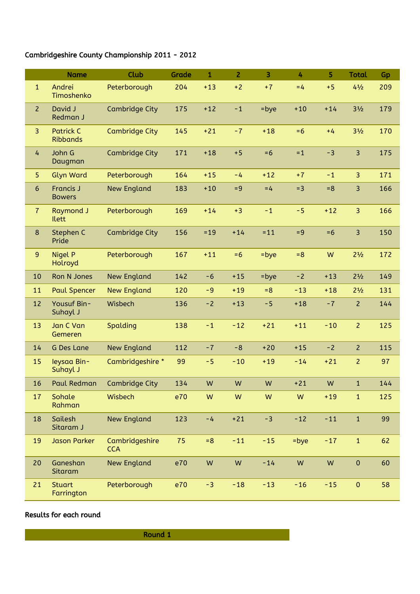## Cambridgeshire County Championship 2011 - 2012

|                | <b>Name</b>                         | Club                         | <b>Grade</b> | $\mathbf{1}$ | $\overline{2}$ | $\overline{3}$ | 4       | 5     | <b>Total</b>                  | Gp  |
|----------------|-------------------------------------|------------------------------|--------------|--------------|----------------|----------------|---------|-------|-------------------------------|-----|
| $\mathbf{1}$   | Andrei<br>Timoshenko                | Peterborough                 | 204          | $+13$        | $+2$           | $+7$           | $=4$    | $+5$  | $4\frac{1}{2}$                | 209 |
| $\overline{2}$ | David J<br>Redman J                 | <b>Cambridge City</b>        | 175          | $+12$        | $-1$           | $=$ bye        | $+10$   | $+14$ | $3\frac{1}{2}$                | 179 |
| $\overline{3}$ | <b>Patrick C</b><br><b>Ribbands</b> | <b>Cambridge City</b>        | 145          | $+21$        | $-7$           | $+18$          | $= 6$   | $+4$  | 3 <sup>1</sup> / <sub>2</sub> | 170 |
| 4              | John G<br>Daugman                   | <b>Cambridge City</b>        | 171          | $+18$        | $+5$           | $= 6$          | $=1$    | $-3$  | 3                             | 175 |
| 5              | <b>Glyn Ward</b>                    | Peterborough                 | 164          | $+15$        | $-4$           | $+12$          | $+7$    | $-1$  | 3                             | 171 |
| $6\phantom{a}$ | <b>Francis J</b><br><b>Bowers</b>   | <b>New England</b>           | 183          | $+10$        | $= 9$          | $=4$           | $=$ 3   | $= 8$ | 3                             | 166 |
| $\overline{7}$ | <b>Raymond J</b><br><b>Ilett</b>    | Peterborough                 | 169          | $+14$        | $+3$           | $-1$           | $-5$    | $+12$ | 3                             | 166 |
| 8              | Stephen C<br>Pride                  | <b>Cambridge City</b>        | 156          | $= 19$       | $+14$          | $= 11$         | $= 9$   | $= 6$ | $\overline{3}$                | 150 |
| $\overline{9}$ | <b>Nigel P</b><br>Holroyd           | Peterborough                 | 167          | $+11$        | $=6$           | $=$ bye        | $= 8$   | W     | $2\frac{1}{2}$                | 172 |
| 10             | Ron N Jones                         | <b>New England</b>           | 142          | $-6$         | $+15$          | $=$ bye        | $-2$    | $+13$ | $2\frac{1}{2}$                | 149 |
| 11             | <b>Paul Spencer</b>                 | <b>New England</b>           | 120          | $-9$         | $+19$          | $=8$           | $-13$   | $+18$ | $2\frac{1}{2}$                | 131 |
| 12             | Yousuf Bin-<br>Suhayl J             | Wisbech                      | 136          | $-2$         | $+13$          | $-5$           | $+18$   | $-7$  | $\overline{2}$                | 144 |
| 13             | Jan C Van<br>Gemeren                | Spalding                     | 138          | $-1$         | $-12$          | $+21$          | $+11$   | $-10$ | $\overline{2}$                | 125 |
| 14             | <b>G Des Lane</b>                   | <b>New England</b>           | 112          | $-7$         | $-8$           | $+20$          | $+15$   | $-2$  | $\overline{2}$                | 115 |
| 15             | leysaa Bin-<br>Suhayl J             | Cambridgeshire *             | 99           | $-5$         | $-10$          | $+19$          | $-14$   | $+21$ | $\overline{2}$                | 97  |
| 16             |                                     | Paul Redman Cambridge City   | 134          | ${\sf W}$    | ${\sf W}$      | W              | $+21$   | W     | $\mathbf{1}$                  | 144 |
| 17             | Sohale<br>Rahman                    | Wisbech                      | e70          | ${\sf W}$    | W              | W              | W       | $+19$ | $\mathbf{1}$                  | 125 |
| 18             | Sailesh<br>Sitaram J                | <b>New England</b>           | 123          | $-4$         | $+21$          | $-3$           | $-12$   | $-11$ | $\mathbf 1$                   | 99  |
| 19             | <b>Jason Parker</b>                 | Cambridgeshire<br><b>CCA</b> | 75           | $= 8$        | $-11$          | $-15$          | $=$ bye | $-17$ | $\mathbf{1}$                  | 62  |
| 20             | Ganeshan<br>Sitaram                 | <b>New England</b>           | e70          | W            | ${\sf W}$      | $-14$          | W       | W     | $\pmb{0}$                     | 60  |
| 21             | <b>Stuart</b><br>Farrington         | Peterborough                 | e70          | $-3$         | $-18$          | $-13$          | $-16$   | $-15$ | $\pmb{0}$                     | 58  |

## Results for each round

Round 1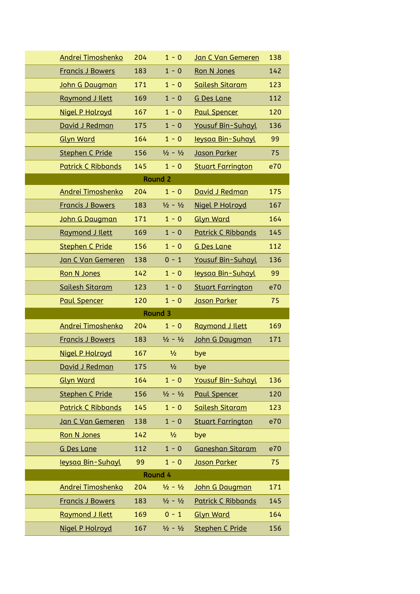| <b>Andrei Timoshenko</b>  | 204 | $1 - 0$                     | Jan C Van Gemeren         | 138 |
|---------------------------|-----|-----------------------------|---------------------------|-----|
| <b>Francis J Bowers</b>   | 183 | $1 - 0$                     | Ron N Jones               | 142 |
| John G Daugman            | 171 | $1 - 0$                     | Sailesh Sitaram           | 123 |
| Raymond J Ilett           | 169 | $1 - 0$                     | <b>G Des Lane</b>         | 112 |
| Nigel P Holroyd           | 167 | $1 - 0$                     | <b>Paul Spencer</b>       | 120 |
| David J Redman            | 175 | $1 - 0$                     | <b>Yousuf Bin-Suhayl</b>  | 136 |
| <b>Glyn Ward</b>          | 164 | $1 - 0$                     | leysaa Bin-Suhayl         | 99  |
| <b>Stephen C Pride</b>    | 156 | $\frac{1}{2} - \frac{1}{2}$ | Jason Parker              | 75  |
| <b>Patrick C Ribbands</b> | 145 | $1 - 0$                     | <b>Stuart Farrington</b>  | e70 |
|                           |     | <b>Round 2</b>              |                           |     |
| Andrei Timoshenko         | 204 | $1 - 0$                     | David J Redman            | 175 |
| <b>Francis J Bowers</b>   | 183 | $\frac{1}{2} - \frac{1}{2}$ | Nigel P Holroyd           | 167 |
| John G Daugman            | 171 | $1 - 0$                     | <b>Glyn Ward</b>          | 164 |
| Raymond J Ilett           | 169 | $1 - 0$                     | <b>Patrick C Ribbands</b> | 145 |
| <b>Stephen C Pride</b>    | 156 | $1 - 0$                     | <b>G Des Lane</b>         | 112 |
| Jan C Van Gemeren         | 138 | $0 - 1$                     | <b>Yousuf Bin-Suhayl</b>  | 136 |
| <b>Ron N Jones</b>        | 142 | $1 - 0$                     | <u>Ieysaa Bin-Suhayl</u>  | 99  |
| Sailesh Sitaram           | 123 | $1 - 0$                     | <b>Stuart Farrington</b>  | e70 |
|                           |     |                             |                           |     |
| <b>Paul Spencer</b>       | 120 | $1 - 0$                     | <b>Jason Parker</b>       | 75  |
|                           |     | Round 3                     |                           |     |
| <b>Andrei Timoshenko</b>  | 204 | $1 - 0$                     | Raymond J Ilett           | 169 |
| <b>Francis J Bowers</b>   | 183 | $\frac{1}{2} - \frac{1}{2}$ | John G Daugman            | 171 |
| <b>Nigel P Holroyd</b>    | 167 | $\frac{1}{2}$               | bye                       |     |
| David J Redman            | 175 | $\frac{1}{2}$               | bye                       |     |
| <b>Glyn Ward</b>          | 164 | $1 - 0$                     | <b>Yousuf Bin-Suhayl</b>  | 136 |
| <b>Stephen C Pride</b>    | 156 | $\frac{1}{2} - \frac{1}{2}$ | <b>Paul Spencer</b>       | 120 |
| <b>Patrick C Ribbands</b> | 145 | $1 - 0$                     | <b>Sailesh Sitaram</b>    | 123 |
| Jan C Van Gemeren         | 138 | $1 - 0$                     | <b>Stuart Farrington</b>  | e70 |
| Ron N Jones               | 142 | $\frac{1}{2}$               | bye                       |     |
| <b>G Des Lane</b>         | 112 | $1 - 0$                     | Ganeshan Sitaram          | e70 |
| leysaa Bin-Suhayl         | 99  | $1 - 0$                     | <b>Jason Parker</b>       | 75  |
|                           |     | Round 4                     |                           |     |
| Andrei Timoshenko         | 204 | $\frac{1}{2} - \frac{1}{2}$ | John G Daugman            | 171 |
| <b>Francis J Bowers</b>   | 183 | $\frac{1}{2} - \frac{1}{2}$ | <b>Patrick C Ribbands</b> | 145 |
| Raymond J Ilett           | 169 | $0 - 1$                     | <b>Glyn Ward</b>          | 164 |